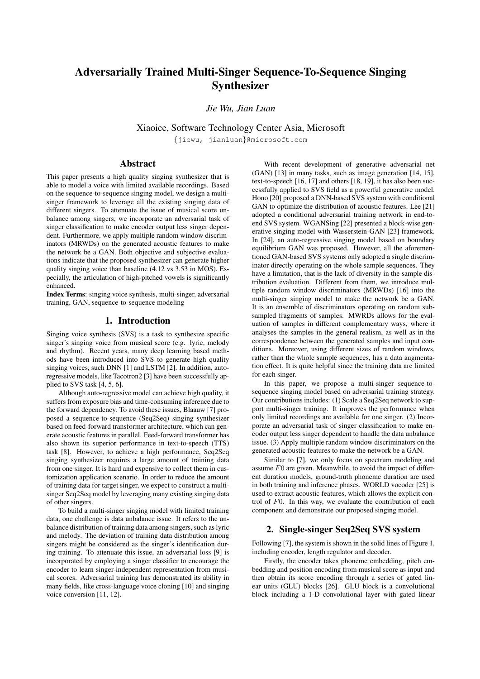# Adversarially Trained Multi-Singer Sequence-To-Sequence Singing Synthesizer

*Jie Wu, Jian Luan*

Xiaoice, Software Technology Center Asia, Microsoft

{jiewu, jianluan}@microsoft.com

# Abstract

This paper presents a high quality singing synthesizer that is able to model a voice with limited available recordings. Based on the sequence-to-sequence singing model, we design a multisinger framework to leverage all the existing singing data of different singers. To attenuate the issue of musical score unbalance among singers, we incorporate an adversarial task of singer classification to make encoder output less singer dependent. Furthermore, we apply multiple random window discriminators (MRWDs) on the generated acoustic features to make the network be a GAN. Both objective and subjective evaluations indicate that the proposed synthesizer can generate higher quality singing voice than baseline (4.12 vs 3.53 in MOS). Especially, the articulation of high-pitched vowels is significantly enhanced.

Index Terms: singing voice synthesis, multi-singer, adversarial training, GAN, sequence-to-sequence modeling

## 1. Introduction

Singing voice synthesis (SVS) is a task to synthesize specific singer's singing voice from musical score (e.g. lyric, melody and rhythm). Recent years, many deep learning based methods have been introduced into SVS to generate high quality singing voices, such DNN [1] and LSTM [2]. In addition, autoregressive models, like Tacotron2 [3] have been successfully applied to SVS task [4, 5, 6].

Although auto-regressive model can achieve high quality, it suffers from exposure bias and time-consuming inference due to the forward dependency. To avoid these issues, Blaauw [7] proposed a sequence-to-sequence (Seq2Seq) singing synthesizer based on feed-forward transformer architecture, which can generate acoustic features in parallel. Feed-forward transformer has also shown its superior performance in text-to-speech (TTS) task [8]. However, to achieve a high performance, Seq2Seq singing synthesizer requires a large amount of training data from one singer. It is hard and expensive to collect them in customization application scenario. In order to reduce the amount of training data for target singer, we expect to construct a multisinger Seq2Seq model by leveraging many existing singing data of other singers.

To build a multi-singer singing model with limited training data, one challenge is data unbalance issue. It refers to the unbalance distribution of training data among singers, such as lyric and melody. The deviation of training data distribution among singers might be considered as the singer's identification during training. To attenuate this issue, an adversarial loss [9] is incorporated by employing a singer classifier to encourage the encoder to learn singer-independent representation from musical scores. Adversarial training has demonstrated its ability in many fields, like cross-language voice cloning [10] and singing voice conversion [11, 12].

With recent development of generative adversarial net (GAN) [13] in many tasks, such as image generation [14, 15], text-to-speech [16, 17] and others [18, 19], it has also been successfully applied to SVS field as a powerful generative model. Hono [20] proposed a DNN-based SVS system with conditional GAN to optimize the distribution of acoustic features. Lee [21] adopted a conditional adversarial training network in end-toend SVS system. WGANSing [22] presented a block-wise generative singing model with Wasserstein-GAN [23] framework. In [24], an auto-regressive singing model based on boundary equilibrium GAN was proposed. However, all the aforementioned GAN-based SVS systems only adopted a single discriminator directly operating on the whole sample sequences. They have a limitation, that is the lack of diversity in the sample distribution evaluation. Different from them, we introduce multiple random window discriminators (MRWDs) [16] into the multi-singer singing model to make the network be a GAN. It is an ensemble of discriminators operating on random subsampled fragments of samples. MWRDs allows for the evaluation of samples in different complementary ways, where it analyses the samples in the general realism, as well as in the correspondence between the generated samples and input conditions. Moreover, using different sizes of random windows, rather than the whole sample sequences, has a data augmentation effect. It is quite helpful since the training data are limited for each singer.

In this paper, we propose a multi-singer sequence-tosequence singing model based on adversarial training strategy. Our contributions includes: (1) Scale a Seq2Seq network to support multi-singer training. It improves the performance when only limited recordings are available for one singer. (2) Incorporate an adversarial task of singer classification to make encoder output less singer dependent to handle the data unbalance issue. (3) Apply multiple random window discriminators on the generated acoustic features to make the network be a GAN.

Similar to [7], we only focus on spectrum modeling and assume  $F0$  are given. Meanwhile, to avoid the impact of different duration models, ground-truth phoneme duration are used in both training and inference phases. WORLD vocoder [25] is used to extract acoustic features, which allows the explicit control of  $F<sub>0</sub>$ . In this way, we evaluate the contribution of each component and demonstrate our proposed singing model.

## 2. Single-singer Seq2Seq SVS system

Following [7], the system is shown in the solid lines of Figure 1, including encoder, length regulator and decoder.

Firstly, the encoder takes phoneme embedding, pitch embedding and position encoding from musical score as input and then obtain its score encoding through a series of gated linear units (GLU) blocks [26]. GLU block is a convolutional block including a 1-D convolutional layer with gated linear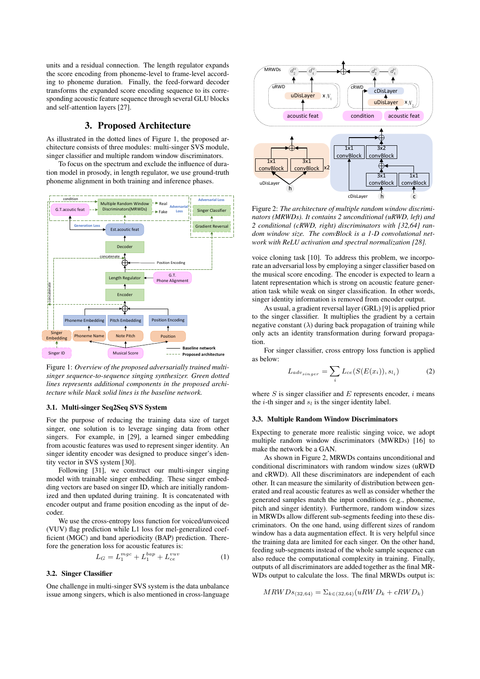units and a residual connection. The length regulator expands the score encoding from phoneme-level to frame-level according to phoneme duration. Finally, the feed-forward decoder transforms the expanded score encoding sequence to its corresponding acoustic feature sequence through several GLU blocks and self-attention layers [27].

## 3. Proposed Architecture

As illustrated in the dotted lines of Figure 1, the proposed architecture consists of three modules: multi-singer SVS module, singer classifier and multiple random window discriminators.

To focus on the spectrum and exclude the influence of duration model in prosody, in length regulator, we use ground-truth phoneme alignment in both training and inference phases.



Figure 1: *Overview of the proposed adversarially trained multisinger sequence-to-sequence singing synthesizer. Green dotted lines represents additional components in the proposed architecture while black solid lines is the baseline network.*

## 3.1. Multi-singer Seq2Seq SVS System

For the purpose of reducing the training data size of target singer, one solution is to leverage singing data from other singers. For example, in [29], a learned singer embedding from acoustic features was used to represent singer identity. An singer identity encoder was designed to produce singer's identity vector in SVS system [30].

Following [31], we construct our multi-singer singing model with trainable singer embedding. These singer embedding vectors are based on singer ID, which are initially randomized and then updated during training. It is concatenated with encoder output and frame position encoding as the input of decoder.

We use the cross-entropy loss function for voiced/unvoiced (VUV) flag prediction while L1 loss for mel-generalized coefficient (MGC) and band aperiodicity (BAP) prediction. Therefore the generation loss for acoustic features is:

$$
L_G = L_1^{mgc} + L_1^{bap} + L_{ce}^{vuv}
$$
 (1)

#### 3.2. Singer Classifier

One challenge in multi-singer SVS system is the data unbalance issue among singers, which is also mentioned in cross-language



Figure 2: *The architecture of multiple random window discriminators (MRWDs). It contains 2 unconditional (uRWD, left) and 2 conditional (cRWD, right) discriminators with [32,64] random window size. The convBlock is a 1-D convolutional network with ReLU activation and spectral normalization [28].*

voice cloning task [10]. To address this problem, we incorporate an adversarial loss by employing a singer classifier based on the musical score encoding. The encoder is expected to learn a latent representation which is strong on acoustic feature generation task while weak on singer classification. In other words, singer identity information is removed from encoder output.

As usual, a gradient reversal layer (GRL) [9] is applied prior to the singer classifier. It multiplies the gradient by a certain negative constant  $(\lambda)$  during back propagation of training while only acts an identity transformation during forward propagation.

For singer classifier, cross entropy loss function is applied as below:

$$
L_{adv_{singer}} = \sum_{i} L_{ce}(S(E(x_i)), s_{l_i})
$$
 (2)

where S is singer classifier and E represents encoder,  $i$  means the *i*-th singer and  $s_l$  is the singer identity label.

## 3.3. Multiple Random Window Discriminators

Expecting to generate more realistic singing voice, we adopt multiple random window discriminators (MWRDs) [16] to make the network be a GAN.

As shown in Figure 2, MRWDs contains unconditional and conditional discriminators with random window sizes (uRWD and cRWD). All these discriminators are independent of each other. It can measure the similarity of distribution between generated and real acoustic features as well as consider whether the generated samples match the input conditions (e.g., phoneme, pitch and singer identity). Furthermore, random window sizes in MRWDs allow different sub-segments feeding into these discriminators. On the one hand, using different sizes of random window has a data augmentation effect. It is very helpful since the training data are limited for each singer. On the other hand, feeding sub-segments instead of the whole sample sequence can also reduce the computational complexity in training. Finally, outputs of all discriminators are added together as the final MR-WDs output to calculate the loss. The final MRWDs output is:

$$
MRWDs_{(32,64)} = \Sigma_{k \in (32,64)}(uRWD_k + cRWD_k)
$$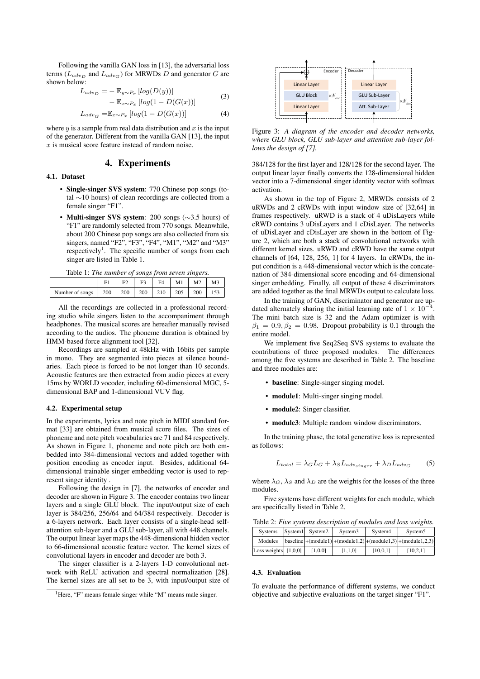Following the vanilla GAN loss in [13], the adversarial loss terms ( $L_{adv_D}$  and  $L_{adv_G}$ ) for MRWDs D and generator G are shown below:

$$
L_{adv_D} = -\mathbb{E}_{y \sim P_r} [log(D(y))]
$$
  
-  $\mathbb{E}_{x \sim P_x} [log(1 - D(G(x)))]$  (3)

$$
L_{adv_G} = \mathbb{E}_{x \sim P_x} [log(1 - D(G(x)))] \tag{4}
$$

where  $y$  is a sample from real data distribution and  $x$  is the input of the generator. Different from the vanilla GAN [13], the input  $x$  is musical score feature instead of random noise.

## 4. Experiments

## 4.1. Dataset

- Single-singer SVS system: 770 Chinese pop songs (total ∼10 hours) of clean recordings are collected from a female singer "F1".
- Multi-singer SVS system: 200 songs (∼3.5 hours) of "F1" are randomly selected from 770 songs. Meanwhile, about 200 Chinese pop songs are also collected from six singers, named "F2", "F3", "F4", "M1", "M2" and "M3" respectively<sup>1</sup>. The specific number of songs from each singer are listed in Table 1.

| Table 1: The number of songs from seven singers. |  |  |  |  |
|--------------------------------------------------|--|--|--|--|
|                                                  |  |  |  |  |

|                 | F۱  | F0  | $E^2$ | F <sub>4</sub> | M1  | M <sub>2</sub> | M <sub>3</sub> |
|-----------------|-----|-----|-------|----------------|-----|----------------|----------------|
| Number of songs | 200 | 200 | 200   | 210            | 205 | 200            | 153            |

All the recordings are collected in a professional recording studio while singers listen to the accompaniment through headphones. The musical scores are hereafter manually revised according to the audios. The phoneme duration is obtained by HMM-based force alignment tool [32].

Recordings are sampled at 48kHz with 16bits per sample in mono. They are segmented into pieces at silence boundaries. Each piece is forced to be not longer than 10 seconds. Acoustic features are then extracted from audio pieces at every 15ms by WORLD vocoder, including 60-dimensional MGC, 5 dimensional BAP and 1-dimensional VUV flag.

#### 4.2. Experimental setup

In the experiments, lyrics and note pitch in MIDI standard format [33] are obtained from musical score files. The sizes of phoneme and note pitch vocabularies are 71 and 84 respectively. As shown in Figure 1, phoneme and note pitch are both embedded into 384-dimensional vectors and added together with position encoding as encoder input. Besides, additional 64 dimensional trainable singer embedding vector is used to represent singer identity .

Following the design in [7], the networks of encoder and decoder are shown in Figure 3. The encoder contains two linear layers and a single GLU block. The input/output size of each layer is 384/256, 256/64 and 64/384 respectively. Decoder is a 6-layers network. Each layer consists of a single-head selfattention sub-layer and a GLU sub-layer, all with 448 channels. The output linear layer maps the 448-dimensional hidden vector to 66-dimensional acoustic feature vector. The kernel sizes of convolutional layers in encoder and decoder are both 3.

The singer classifier is a 2-layers 1-D convolutional network with ReLU activation and spectral normalization [28]. The kernel sizes are all set to be 3, with input/output size of



Figure 3: *A diagram of the encoder and decoder networks, where GLU block, GLU sub-layer and attention sub-layer follows the design of [7].*

384/128 for the first layer and 128/128 for the second layer. The output linear layer finally converts the 128-dimensional hidden vector into a 7-dimensional singer identity vector with softmax activation.

As shown in the top of Figure 2, MRWDs consists of 2 uRWDs and 2 cRWDs with input window size of [32,64] in frames respectively. uRWD is a stack of 4 uDisLayers while cRWD contains 3 uDisLayers and 1 cDisLayer. The networks of uDisLayer and cDisLayer are shown in the bottom of Figure 2, which are both a stack of convolutional networks with different kernel sizes. uRWD and cRWD have the same output channels of [64, 128, 256, 1] for 4 layers. In cRWDs, the input condition is a 448-dimensional vector which is the concatenation of 384-dimensional score encoding and 64-dimensional singer embedding. Finally, all output of these 4 discriminators are added together as the final MRWDs output to calculate loss.

In the training of GAN, discriminator and generator are updated alternately sharing the initial learning rate of  $1 \times 10^{-4}$ . The mini batch size is 32 and the Adam optimizer is with  $\beta_1 = 0.9, \beta_2 = 0.98$ . Dropout probability is 0.1 through the entire model.

We implement five Seq2Seq SVS systems to evaluate the contributions of three proposed modules. The differences among the five systems are described in Table 2. The baseline and three modules are:

- baseline: Single-singer singing model.
- module1: Multi-singer singing model.
- module2: Singer classifier.
- module3: Multiple random window discriminators.

In the training phase, the total generative loss is represented as follows:

$$
L_{total} = \lambda_G L_G + \lambda_S L_{adv_{singer}} + \lambda_D L_{adv_G} \tag{5}
$$

where  $\lambda_G$ ,  $\lambda_S$  and  $\lambda_D$  are the weights for the losses of the three modules.

Five systems have different weights for each module, which are specifically listed in Table 2.

| <b>Systems</b>         | System1 System2 | System <sub>3</sub> | System4  | System <sub>5</sub>                                                                                  |
|------------------------|-----------------|---------------------|----------|------------------------------------------------------------------------------------------------------|
| Modules                |                 |                     |          | $\vert$ baseline $\vert$ +(module1) $\vert$ +(module1,2) $\vert$ +(module1,3) $\vert$ +(module1,2,3) |
| Loss weights $[1,0,0]$ | [1,0,0]         | [1,1,0]             | [10.0.1] | [10,2,1]                                                                                             |

#### 4.3. Evaluation

To evaluate the performance of different systems, we conduct objective and subjective evaluations on the target singer "F1".

<sup>&</sup>lt;sup>1</sup>Here, "F" means female singer while "M" means male singer.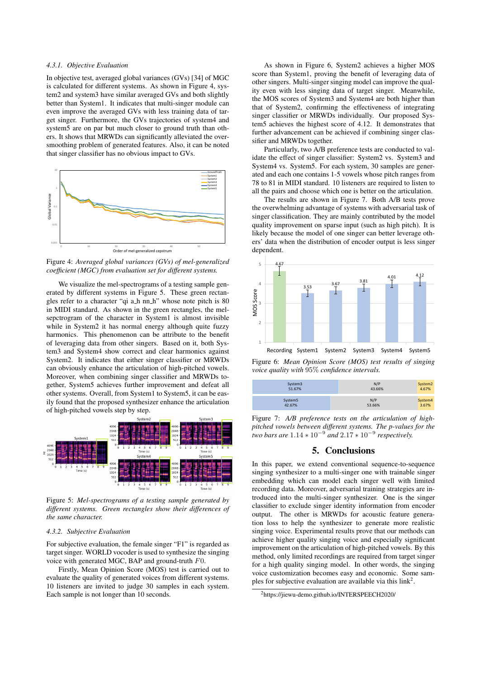#### *4.3.1. Objective Evaluation*

In objective test, averaged global variances (GVs) [34] of MGC is calculated for different systems. As shown in Figure 4, system2 and system3 have similar averaged GVs and both slightly better than System1. It indicates that multi-singer module can even improve the averaged GVs with less training data of target singer. Furthermore, the GVs trajectories of system4 and system5 are on par but much closer to ground truth than others. It shows that MRWDs can significantly alleviated the oversmoothing problem of generated features. Also, it can be noted that singer classifier has no obvious impact to GVs.



Figure 4: *Averaged global variances (GVs) of mel-generalized coefficient (MGC) from evaluation set for different systems.*

We visualize the mel-spectrograms of a testing sample generated by different systems in Figure 5. These green rectangles refer to a character "qi a h nn h" whose note pitch is 80 in MIDI standard. As shown in the green rectangles, the melsepctrogram of the character in System1 is almost invisible while in System2 it has normal energy although quite fuzzy harmonics. This phenomenon can be attribute to the benefit of leveraging data from other singers. Based on it, both System3 and System4 show correct and clear harmonics against System2. It indicates that either singer classifier or MRWDs can obviously enhance the articulation of high-pitched vowels. Moreover, when combining singer classifier and MRWDs together, System5 achieves further improvement and defeat all other systems. Overall, from System1 to System5, it can be easily found that the proposed synthesizer enhance the articulation of high-pitched vowels step by step.



Figure 5: *Mel-spectrograms of a testing sample generated by different systems. Green rectangles show their differences of the same character.*

#### *4.3.2. Subjective Evaluation*

For subjective evaluation, the female singer "F1" is regarded as target singer. WORLD vocoder is used to synthesize the singing voice with generated MGC, BAP and ground-truth  $F0$ .

Firstly, Mean Opinion Score (MOS) test is carried out to evaluate the quality of generated voices from different systems. 10 listeners are invited to judge 30 samples in each system. Each sample is not longer than 10 seconds.

As shown in Figure 6, System2 achieves a higher MOS score than System1, proving the benefit of leveraging data of other singers. Multi-singer singing model can improve the quality even with less singing data of target singer. Meanwhile, the MOS scores of System3 and System4 are both higher than that of System2, confirming the effectiveness of integrating singer classifier or MRWDs individually. Our proposed System5 achieves the highest score of 4.12. It demonstrates that further advancement can be achieved if combining singer classifier and MRWDs together.

Particularly, two A/B preference tests are conducted to validate the effect of singer classifier: System2 vs. System3 and System4 vs. System5. For each system, 30 samples are generated and each one contains 1-5 vowels whose pitch ranges from 78 to 81 in MIDI standard. 10 listeners are required to listen to all the pairs and choose which one is better on the articulation.

The results are shown in Figure 7. Both A/B tests prove the overwhelming advantage of systems with adversarial task of singer classification. They are mainly contributed by the model quality improvement on sparse input (such as high pitch). It is likely because the model of one singer can better leverage others' data when the distribution of encoder output is less singer dependent.



Figure 6: *Mean Opinion Score (MOS) test results of singing voice quality with* 95% *confidence intervals.*

| System3             | N/P    | System2 |
|---------------------|--------|---------|
| 51.67%              | 43.66% | 4.67%   |
| System <sub>5</sub> | N/P    | System4 |
| 42.67%              | 53.66% | 3.67%   |

Figure 7: *A/B preference tests on the articulation of highpitched vowels between different systems. The p-values for the two bars are*  $1.14 * 10^{-9}$  *and*  $2.17 * 10^{-9}$  *respectively.* 

## 5. Conclusions

In this paper, we extend conventional sequence-to-sequence singing synthesizer to a multi-singer one with trainable singer embedding which can model each singer well with limited recording data. Moreover, adversarial training strategies are introduced into the multi-singer synthesizer. One is the singer classifier to exclude singer identity information from encoder output. The other is MRWDs for acoustic feature generation loss to help the synthesizer to generate more realistic singing voice. Experimental results prove that our methods can achieve higher quality singing voice and especially significant improvement on the articulation of high-pitched vowels. By this method, only limited recordings are required from target singer for a high quality singing model. In other words, the singing voice customization becomes easy and economic. Some samples for subjective evaluation are available via this  $link^2$ .

<sup>2</sup>https://jiewu-demo.github.io/INTERSPEECH2020/